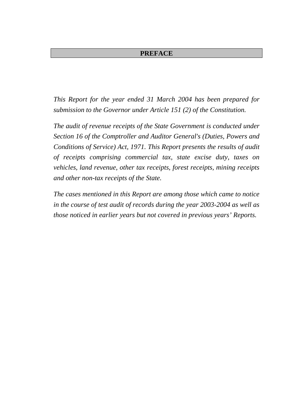# **PREFACE**

*This Report for the year ended 31 March 2004 has been prepared for submission to the Governor under Article 151 (2) of the Constitution.* 

*The audit of revenue receipts of the State Government is conducted under Section 16 of the Comptroller and Auditor General's (Duties, Powers and Conditions of Service) Act, 1971. This Report presents the results of audit of receipts comprising commercial tax, state excise duty, taxes on vehicles, land revenue, other tax receipts, forest receipts, mining receipts and other non-tax receipts of the State.* 

*The cases mentioned in this Report are among those which came to notice in the course of test audit of records during the year 2003-2004 as well as those noticed in earlier years but not covered in previous years' Reports.*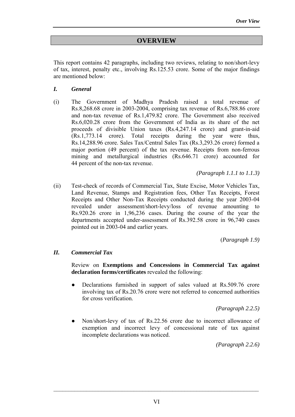# **OVERVIEW**

This report contains 42 paragraphs, including two reviews, relating to non/short-levy of tax, interest, penalty etc., involving Rs.125.53 crore. Some of the major findings are mentioned below:

- *I. General*
- (i) The Government of Madhya Pradesh raised a total revenue of Rs.8,268.68 crore in 2003-2004, comprising tax revenue of Rs.6,788.86 crore and non-tax revenue of Rs.1,479.82 crore. The Government also received Rs.6,020.28 crore from the Government of India as its share of the net proceeds of divisible Union taxes (Rs.4,247.14 crore) and grant-in-aid (Rs.1,773.14 crore). Total receipts during the year were thus, Rs.14,288.96 crore. Sales Tax/Central Sales Tax (Rs.3,293.26 crore) formed a major portion (49 percent) of the tax revenue. Receipts from non-ferrous mining and metallurgical industries (Rs.646.71 crore) accounted for 44 percent of the non-tax revenue.

*(Paragraph 1.1.1 to 1.1.3)*

(ii) Test-check of records of Commercial Tax, State Excise, Motor Vehicles Tax, Land Revenue, Stamps and Registration fees, Other Tax Receipts, Forest Receipts and Other Non-Tax Receipts conducted during the year 2003-04 revealed under assessment/short-levy/loss of revenue amounting to Rs.920.26 crore in 1,96,236 cases. During the course of the year the departments accepted under-assessment of Rs.392.58 crore in 96,740 cases pointed out in 2003-04 and earlier years.

(*Paragraph 1.9)*

## *II. Commercial Tax*

 Review on **Exemptions and Concessions in Commercial Tax against declaration forms/certificates** revealed the following:

• Declarations furnished in support of sales valued at Rs.509.76 crore involving tax of Rs.20.76 crore were not referred to concerned authorities for cross verification.

*(Paragraph 2.2.5)*

Non/short-levy of tax of Rs.22.56 crore due to incorrect allowance of exemption and incorrect levy of concessional rate of tax against incomplete declarations was noticed.

*(Paragraph 2.2.6)*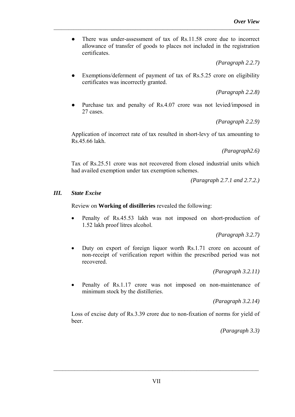• There was under-assessment of tax of Rs.11.58 crore due to incorrect allowance of transfer of goods to places not included in the registration certificates.

*\_\_\_\_\_\_\_\_\_\_\_\_\_\_\_\_\_\_\_\_\_\_\_\_\_\_\_\_\_\_\_\_\_\_\_\_\_\_\_\_\_\_\_\_\_\_\_\_\_\_\_\_\_\_\_\_\_\_\_\_\_\_\_\_\_\_\_\_\_\_\_\_\_\_\_\_\_\_\_\_\_\_\_*

*(Paragraph 2.2.7)*

Exemptions/deferment of payment of tax of Rs.5.25 crore on eligibility certificates was incorrectly granted.

*(Paragraph 2.2.8)*

Purchase tax and penalty of Rs.4.07 crore was not levied/imposed in 27 cases.

*(Paragraph 2.2.9)*

Application of incorrect rate of tax resulted in short-levy of tax amounting to Rs.45.66 lakh.

*(Paragraph2.6)*

Tax of Rs.25.51 crore was not recovered from closed industrial units which had availed exemption under tax exemption schemes.

*(Paragraph 2.7.1 and 2.7.2.)*

# *III. State Excise*

Review on **Working of distilleries** revealed the following:

Penalty of Rs.45.53 lakh was not imposed on short-production of 1.52 lakh proof litres alcohol.

*(Paragraph 3.2.7)*

Duty on export of foreign liquor worth Rs.1.71 crore on account of non-receipt of verification report within the prescribed period was not recovered.

*(Paragraph 3.2.11)*

Penalty of Rs.1.17 crore was not imposed on non-maintenance of minimum stock by the distilleries.

*(Paragraph 3.2.14)*

Loss of excise duty of Rs.3.39 crore due to non-fixation of norms for yield of beer.

*(Paragraph 3.3)*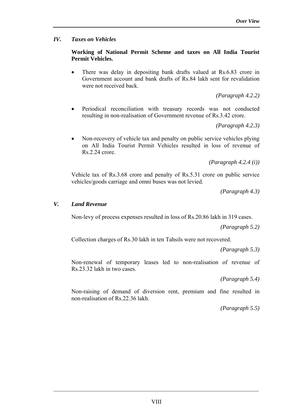## *IV. Taxes on Vehicles*

## **Working of National Permit Scheme and taxes on All India Tourist Permit Vehicles.**

• There was delay in depositing bank drafts valued at Rs.6.83 crore in Government account and bank drafts of Rs.84 lakh sent for revalidation were not received back

*(Paragraph 4.2.2)*

• Periodical reconciliation with treasury records was not conducted resulting in non-realisation of Government revenue of Rs.3.42 crore.

*(Paragraph 4.2.3)*

• Non-recovery of vehicle tax and penalty on public service vehicles plying on All India Tourist Permit Vehicles resulted in loss of revenue of Rs.2.24 crore.

*(Paragraph 4.2.4 (i))*

Vehicle tax of Rs.3.68 crore and penalty of Rs.5.31 crore on public service vehicles/goods carriage and omni buses was not levied.

*(Paragraph 4.3)*

## *V. Land Revenue*

Non-levy of process expenses resulted in loss of Rs.20.86 lakh in 319 cases.

 *(Paragraph 5.2)*

Collection charges of Rs.30 lakh in ten Tahsils were not recovered.

*(Paragraph 5.3)*

Non-renewal of temporary leases led to non-realisation of revenue of Rs.23.32 lakh in two cases.

*(Paragraph 5.4)*

Non-raising of demand of diversion rent, premium and fine resulted in non-realisation of Rs.22.36 lakh.

*(Paragraph 5.5)*